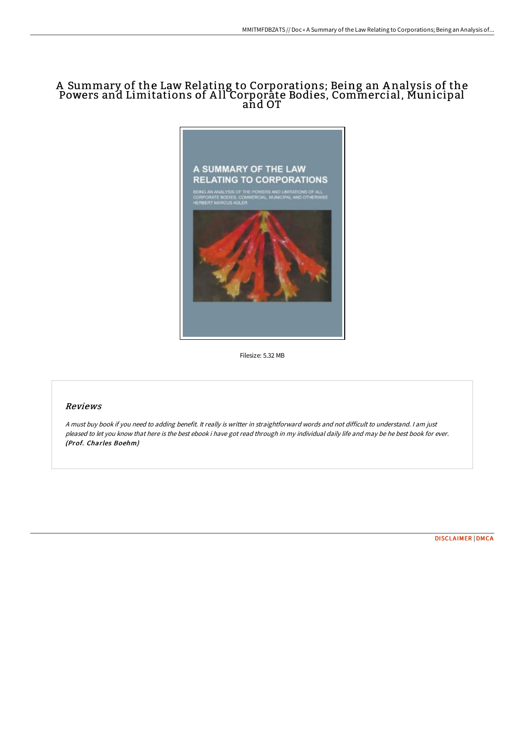# A Summary of the Law Relating to Corporations; Being an A nalysis of the Powers and Limitations of A ll Corporate Bodies, Commercial, Municipal and OT



Filesize: 5.32 MB

## Reviews

<sup>A</sup> must buy book if you need to adding benefit. It really is writter in straightforward words and not difficult to understand. <sup>I</sup> am just pleased to let you know that here is the best ebook i have got read through in my individual daily life and may be he best book for ever. (Prof. Charles Boehm)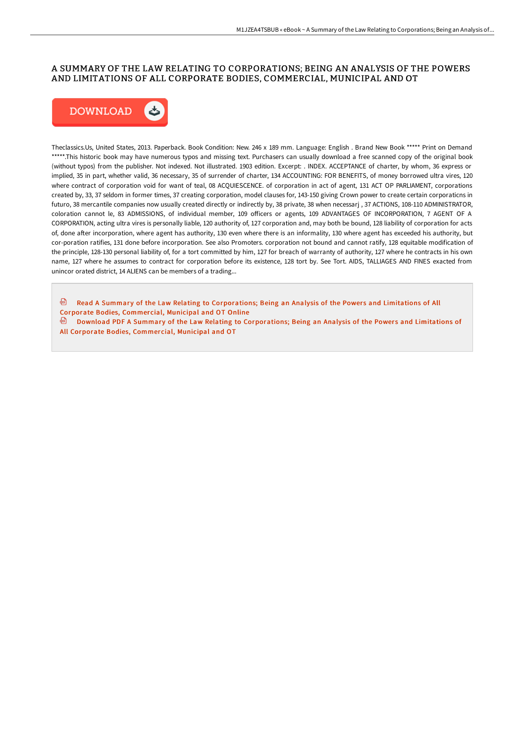## A SUMMARY OF THE LAW RELATING TO CORPORATIONS; BEING AN ANALYSIS OF THE POWERS AND LIMITATIONS OF ALL CORPORATE BODIES, COMMERCIAL, MUNICIPAL AND OT



Theclassics.Us, United States, 2013. Paperback. Book Condition: New. 246 x 189 mm. Language: English . Brand New Book \*\*\*\*\* Print on Demand \*\*\*\*\*.This historic book may have numerous typos and missing text. Purchasers can usually download a free scanned copy of the original book (without typos) from the publisher. Not indexed. Not illustrated. 1903 edition. Excerpt: . INDEX. ACCEPTANCE of charter, by whom, 36 express or implied, 35 in part, whether valid, 36 necessary, 35 of surrender of charter, 134 ACCOUNTING: FOR BENEFITS, of money borrowed ultra vires, 120 where contract of corporation void for want of teal, 08 ACQUIESCENCE. of corporation in act of agent, 131 ACT OP PARLIAMENT, corporations created by, 33, 37 seldom in former times, 37 creating corporation, model clauses for, 143-150 giving Crown power to create certain corporaticns in futuro, 38 mercantile companies now usually created directly or indirectly by, 38 private, 38 when necessarj , 37 ACTIONS, 108-110 ADMINISTRATOR, coloration cannot le, 83 ADMISSIONS, of individual member, 109 oFicers or agents, 109 ADVANTAGES OF INCORPORATION, 7 AGENT OF A CORPORATION, acting ultra vires is personally liable, 120 authority of, 127 corporation and, may both be bound, 128 liability of corporation for acts of, done after incorporation, where agent has authority, 130 even where there is an informality, 130 where agent has exceeded his authority, but cor-poration ratifies, 131 done before incorporation. See also Promoters. corporation not bound and cannot ratify, 128 equitable modification of the principle, 128-130 personal liability of, for a tort committed by him, 127 for breach of warranty of authority, 127 where he contracts in his own name, 127 where he assumes to contract for corporation before its existence, 128 tort by. See Tort. AIDS, TALLIAGES AND FINES exacted from unincor orated district, 14 ALIENS can be members of a trading...

**E** Read A Summary of the Law Relating to [Corporations;](http://albedo.media/a-summary-of-the-law-relating-to-corporations-be.html) Being an Analysis of the Powers and Limitations of All Corporate Bodies, Commercial, Municipal and OT Online

甸 Download PDF A Summary of the Law Relating to [Corporations;](http://albedo.media/a-summary-of-the-law-relating-to-corporations-be.html) Being an Analysis of the Powers and Limitations of All Corporate Bodies, Commercial, Municipal and OT